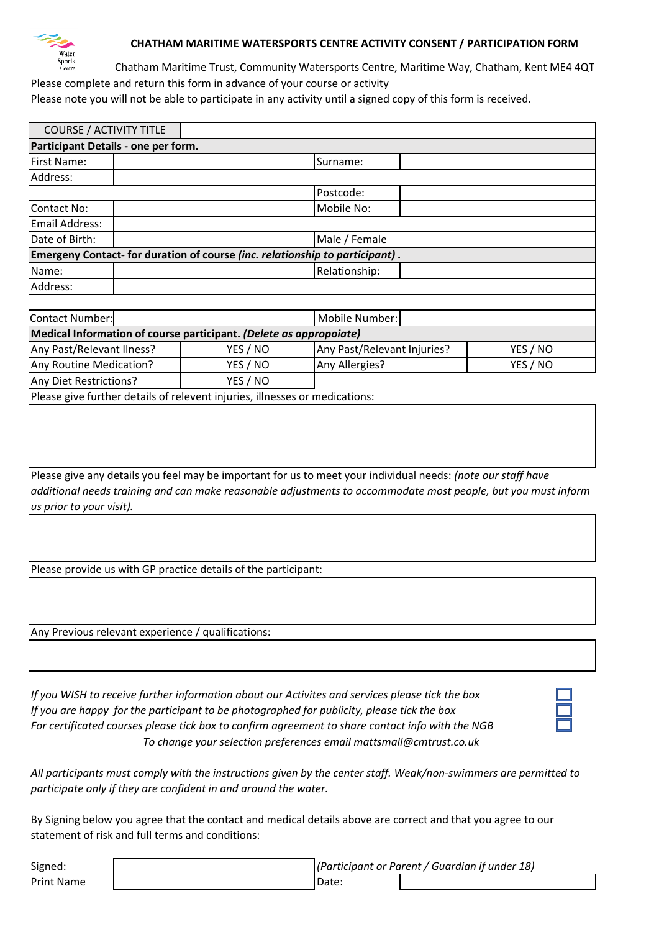

## **CHATHAM MARITIME WATERSPORTS CENTRE ACTIVITY CONSENT / PARTICIPATION FORM**

Chatham Maritime Trust, Community Watersports Centre, Maritime Way, Chatham, Kent ME4 4QT Please complete and return this form in advance of your course or activity

Please note you will not be able to participate in any activity until a signed copy of this form is received.

| <b>COURSE / ACTIVITY TITLE</b>                                               |               |                             |          |
|------------------------------------------------------------------------------|---------------|-----------------------------|----------|
| Participant Details - one per form.                                          |               |                             |          |
| <b>First Name:</b>                                                           |               | Surname:                    |          |
| Address:                                                                     |               |                             |          |
|                                                                              |               | Postcode:                   |          |
| Contact No:                                                                  |               | Mobile No:                  |          |
| Email Address:                                                               |               |                             |          |
| Date of Birth:                                                               | Male / Female |                             |          |
| Emergeny Contact- for duration of course (inc. relationship to participant). |               |                             |          |
| Name:                                                                        |               | Relationship:               |          |
| Address:                                                                     |               |                             |          |
|                                                                              |               |                             |          |
| <b>Contact Number:</b>                                                       |               | Mobile Number:              |          |
| Medical Information of course participant. (Delete as appropoiate)           |               |                             |          |
| Any Past/Relevant Ilness?                                                    | YES / NO      | Any Past/Relevant Injuries? | YES / NO |
| Any Routine Medication?                                                      | YES / NO      | Any Allergies?              | YES / NO |
| Any Diet Restrictions?                                                       | YES / NO      |                             |          |

Please give further details of relevent injuries, illnesses or medications:

Please give any details you feel may be important for us to meet your individual needs: *(note our staff have additional needs training and can make reasonable adjustments to accommodate most people, but you must inform us prior to your visit).*

Please provide us with GP practice details of the participant:

Any Previous relevant experience / qualifications:

*If you WISH to receive further information about our Activites and services please tick the box If you are happy for the participant to be photographed for publicity, please tick the box For certificated courses please tick box to confirm agreement to share contact info with the NGB To change your selection preferences email mattsmall@cmtrust.co.uk*

*All participants must comply with the instructions given by the center staff. Weak/non-swimmers are permitted to participate only if they are confident in and around the water.* 

By Signing below you agree that the contact and medical details above are correct and that you agree to our statement of risk and full terms and conditions:

Signed:

Print Name and Date: *(Participant or Parent / Guardian if under 18)*